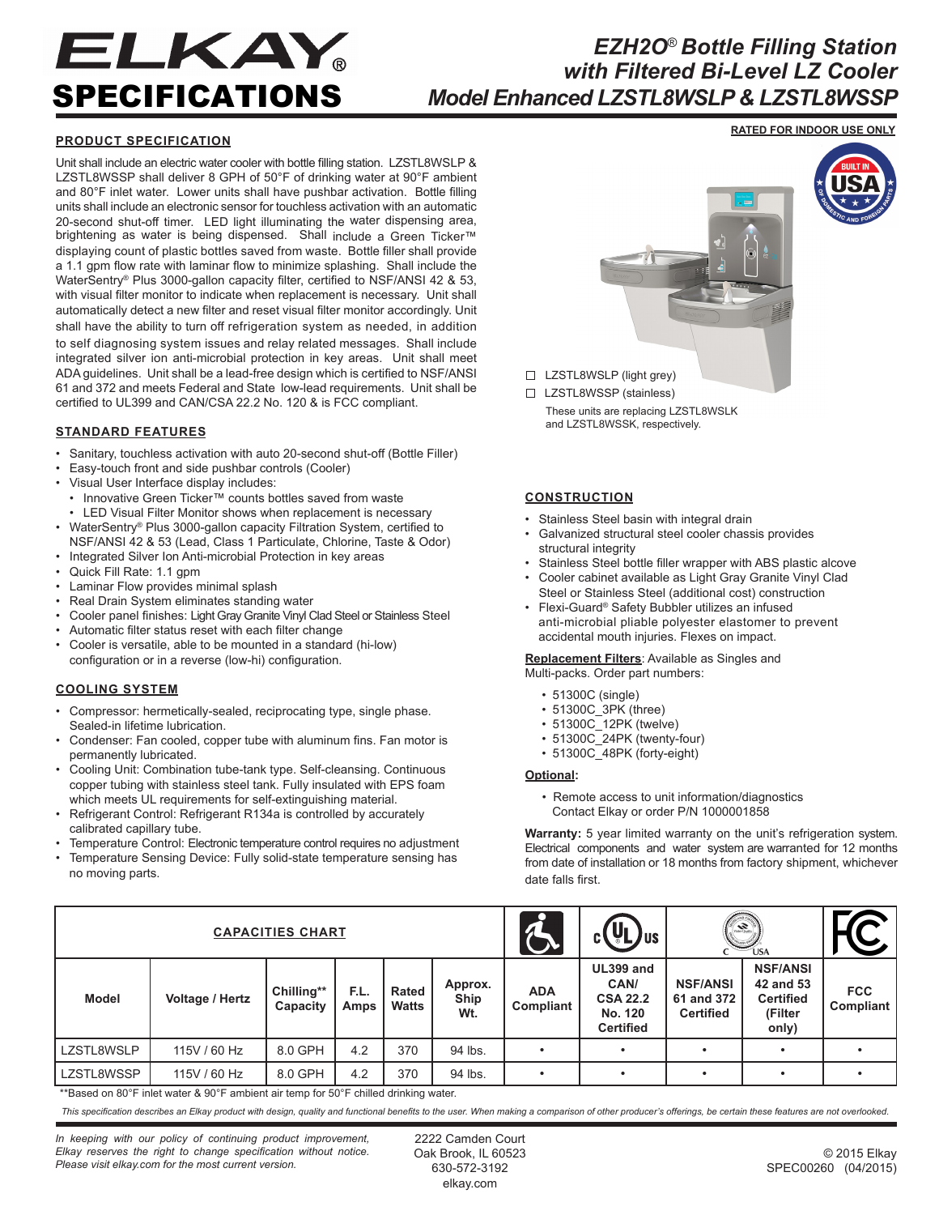# ELKAY SPECIFICATIONS

# *EZH2O*® *Bottle Filling Station with Filtered Bi-Level LZ Cooler Model Enhanced LZSTL8WSLP & LZSTL8WSSP*

## **PRODUCT SPECIFICATION**

Unit shall include an electric water cooler with bottle filling station. LZSTL8WSLP & LZSTL8WSSP shall deliver 8 GPH of 50°F of drinking water at 90°F ambient and 80°F inlet water. Lower units shall have pushbar activation. Bottle filling units shall include an electronic sensor for touchless activation with an automatic 20-second shut-off timer. LED light illuminating the water dispensing area, brightening as water is being dispensed. Shall include a Green Ticker™ displaying count of plastic bottles saved from waste. Bottle filler shall provide a 1.1 gpm flow rate with laminar flow to minimize splashing. Shall include the WaterSentry® Plus 3000-gallon capacity filter, certified to NSF/ANSI 42 & 53, with visual filter monitor to indicate when replacement is necessary. Unit shall automatically detect a new filter and reset visual filter monitor accordingly. Unit shall have the ability to turn off refrigeration system as needed, in addition to self diagnosing system issues and relay related messages. Shall include integrated silver ion anti-microbial protection in key areas. Unit shall meet ADA guidelines. Unit shall be a lead-free design which is certified to NSF/ANSI 61 and 372 and meets Federal and State low-lead requirements. Unit shall be certified to UL399 and CAN/CSA 22.2 No. 120 & is FCC compliant.

### **STANDARD FEATURES**

- Sanitary, touchless activation with auto 20-second shut-off (Bottle Filler)
- Easy-touch front and side pushbar controls (Cooler)
- Visual User Interface display includes:
- Innovative Green Ticker™ counts bottles saved from waste
- LED Visual Filter Monitor shows when replacement is necessary • WaterSentry® Plus 3000-gallon capacity Filtration System, certified to
- NSF/ANSI 42 & 53 (Lead, Class 1 Particulate, Chlorine, Taste & Odor) • Integrated Silver Ion Anti-microbial Protection in key areas
- Quick Fill Rate: 1.1 gpm
- Laminar Flow provides minimal splash
- Real Drain System eliminates standing water
- Cooler panel finishes: Light Gray Granite Vinyl Clad Steel or Stainless Steel
- Automatic filter status reset with each filter change
- Cooler is versatile, able to be mounted in a standard (hi-low) configuration or in a reverse (low-hi) configuration.

#### **COOLING SYSTEM**

- Compressor: hermetically-sealed, reciprocating type, single phase. Sealed-in lifetime lubrication.
- Condenser: Fan cooled, copper tube with aluminum fins. Fan motor is permanently lubricated.
- Cooling Unit: Combination tube-tank type. Self-cleansing. Continuous copper tubing with stainless steel tank. Fully insulated with EPS foam which meets UL requirements for self-extinguishing material.
- Refrigerant Control: Refrigerant R134a is controlled by accurately calibrated capillary tube.
- Temperature Control: Electronic temperature control requires no adjustment
- Temperature Sensing Device: Fully solid-state temperature sensing has no moving parts.



□ LZSTL8WSLP (light grey)

□ LZSTL8WSSP (stainless) These units are replacing LZSTL8WSLK and LZSTL8WSSK, respectively.

### **CONSTRUCTION**

- Stainless Steel basin with integral drain
- Galvanized structural steel cooler chassis provides structural integrity
- Stainless Steel bottle filler wrapper with ABS plastic alcove
- Cooler cabinet available as Light Gray Granite Vinyl Clad Steel or Stainless Steel (additional cost) construction • Flexi-Guard® Safety Bubbler utilizes an infused
- anti-microbial pliable polyester elastomer to prevent accidental mouth injuries. Flexes on impact.

**Replacement Filters**: Available as Singles and Multi-packs. Order part numbers:

- 51300C (single)
- 51300C\_3PK (three)
- 51300C\_12PK (twelve)
- 51300C\_24PK (twenty-four)
- 51300C\_48PK (forty-eight)

#### **Optional:**

 • Remote access to unit information/diagnostics Contact Elkay or order P/N 1000001858

**Warranty:** 5 year limited warranty on the unit's refrigeration system. Electrical components and water system are warranted for 12 months from date of installation or 18 months from factory shipment, whichever date falls first.

| <b>CAPACITIES CHART</b> |                 |                        |              |                |                        |                         | $(\mathbf{U}_\mathsf{L})_{\mathsf{US}}$<br>C L                      | <b>All Street</b><br><b>USA</b>                   |                                                                      |                                |
|-------------------------|-----------------|------------------------|--------------|----------------|------------------------|-------------------------|---------------------------------------------------------------------|---------------------------------------------------|----------------------------------------------------------------------|--------------------------------|
| <b>Model</b>            | Voltage / Hertz | Chilling**<br>Capacity | F.L.<br>Amps | Rated<br>Watts | Approx.<br>Ship<br>Wt. | <b>ADA</b><br>Compliant | UL399 and<br>CAN/<br><b>CSA 22.2</b><br>No. 120<br><b>Certified</b> | <b>NSF/ANSI</b><br>61 and 372<br><b>Certified</b> | <b>NSF/ANSI</b><br>42 and 53<br><b>Certified</b><br>(Filter<br>only) | <b>FCC</b><br><b>Compliant</b> |
| LZSTL8WSLP              | 115V / 60 Hz    | 8.0 GPH                | 4.2          | 370            | 94 lbs.                |                         |                                                                     |                                                   |                                                                      |                                |
| LZSTL8WSSP              | 115V / 60 Hz    | 8.0 GPH                | 4.2          | 370            | 94 lbs.                |                         |                                                                     | ٠                                                 |                                                                      |                                |

\*\*Based on 80°F inlet water & 90°F ambient air temp for 50°F chilled drinking water.

*This specification describes an Elkay product with design, quality and functional benefits to the user. When making a comparison of other producer's offerings, be certain these features are not overlooked.*

*In keeping with our policy of continuing product improvement, Elkay reserves the right to change specification without notice. Please visit elkay.com for the most current version.*

2222 Camden Court Oak Brook, IL 60523 630-572-3192 elkay.com

**RATED FOR INDOOR USE ONLY**